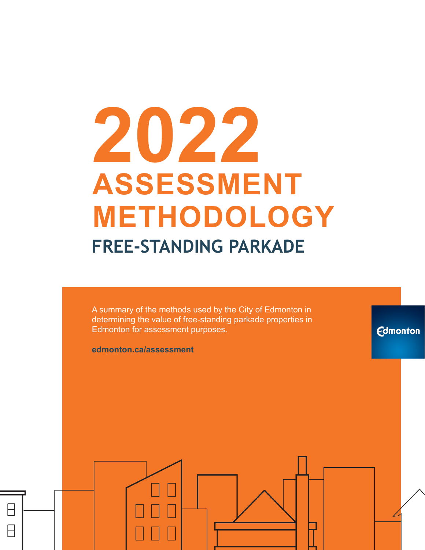# **2022 ASSESSMENT METHODOLOGY FREE-STANDING PARKADE**

A summary of the methods used by the City of Edmonton in determining the value of free-standing parkade properties in Edmonton for assessment purposes.

**Edmonton** 

**edmonton.ca/assessment**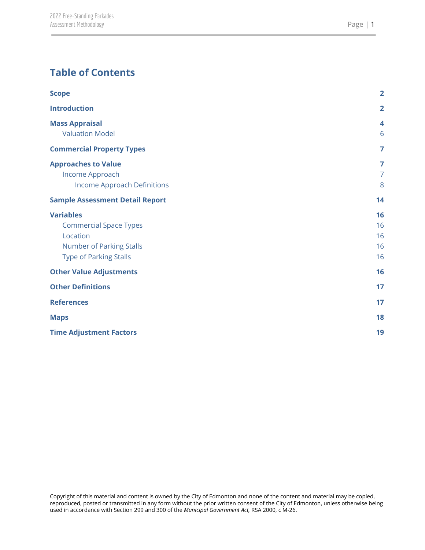#### **Table of Contents**

| <b>Scope</b>                           | $\overline{2}$          |
|----------------------------------------|-------------------------|
| <b>Introduction</b>                    | $\overline{2}$          |
| <b>Mass Appraisal</b>                  | $\overline{\mathbf{4}}$ |
| <b>Valuation Model</b>                 | 6                       |
| <b>Commercial Property Types</b>       | $\overline{7}$          |
| <b>Approaches to Value</b>             | 7                       |
| Income Approach                        | $\overline{7}$          |
| <b>Income Approach Definitions</b>     | 8                       |
| <b>Sample Assessment Detail Report</b> | 14                      |
| <b>Variables</b>                       | 16                      |
| <b>Commercial Space Types</b>          | 16                      |
| Location                               | 16                      |
| <b>Number of Parking Stalls</b>        | 16                      |
| <b>Type of Parking Stalls</b>          | 16                      |
| <b>Other Value Adjustments</b>         | 16                      |
| <b>Other Definitions</b>               | 17                      |
| <b>References</b>                      | 17                      |
| <b>Maps</b>                            | 18                      |
| <b>Time Adjustment Factors</b>         | 19                      |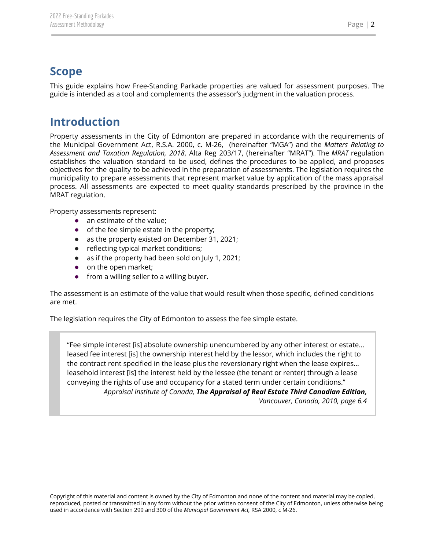## <span id="page-2-0"></span>**Scope**

<span id="page-2-1"></span>This guide explains how Free-Standing Parkade properties are valued for assessment purposes. The guide is intended as a tool and complements the assessor's judgment in the valuation process.

### **Introduction**

Property assessments in the City of Edmonton are prepared in accordance with the requirements of the Municipal Government Act, R.S.A. 2000, c. M-26, (hereinafter "MGA") and the *Matters Relating to Assessment and Taxation Regulation, 2018*, Alta Reg 203/17, (hereinafter "MRAT"). The *MRAT* regulation establishes the valuation standard to be used, defines the procedures to be applied, and proposes objectives for the quality to be achieved in the preparation of assessments. The legislation requires the municipality to prepare assessments that represent market value by application of the mass appraisal process. All assessments are expected to meet quality standards prescribed by the province in the MRAT regulation.

Property assessments represent:

- an estimate of the value;
- of the fee simple estate in the property;
- as the property existed on December 31, 2021;
- reflecting typical market conditions;
- as if the property had been sold on July 1, 2021;
- on the open market;
- from a willing seller to a willing buyer.

The assessment is an estimate of the value that would result when those specific, defined conditions are met.

The legislation requires the City of Edmonton to assess the fee simple estate.

"Fee simple interest [is] absolute ownership unencumbered by any other interest or estate… leased fee interest [is] the ownership interest held by the lessor, which includes the right to the contract rent specified in the lease plus the reversionary right when the lease expires… leasehold interest [is] the interest held by the lessee (the tenant or renter) through a lease conveying the rights of use and occupancy for a stated term under certain conditions." *Appraisal Institute of Canada, The Appraisal of Real Estate Third Canadian Edition, Vancouver, Canada, 2010, page 6.4*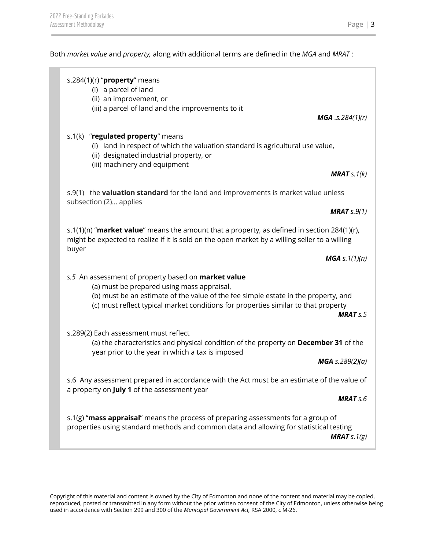Both *market value* and *property,* along with additional terms are defined in the *MGA* and *MRAT* :

| s.284(1)(r) " $proper$ y means<br>(i) a parcel of land<br>(ii) an improvement, or                                                                                                                                                                                                                |
|--------------------------------------------------------------------------------------------------------------------------------------------------------------------------------------------------------------------------------------------------------------------------------------------------|
| (iii) a parcel of land and the improvements to it<br><b>MGA</b> .s.284 $(1)(r)$                                                                                                                                                                                                                  |
| s.1(k) "regulated property" means<br>(i) land in respect of which the valuation standard is agricultural use value,<br>(ii) designated industrial property, or<br>(iii) machinery and equipment                                                                                                  |
| <b>MRAT</b> $s.1(k)$                                                                                                                                                                                                                                                                             |
| s.9(1) the <b>valuation standard</b> for the land and improvements is market value unless<br>subsection (2) applies                                                                                                                                                                              |
| <b>MRAT</b> $s.9(1)$                                                                                                                                                                                                                                                                             |
| s.1(1)(n) "market value" means the amount that a property, as defined in section 284(1)(r),<br>might be expected to realize if it is sold on the open market by a willing seller to a willing<br>buyer                                                                                           |
| <b>MGA</b> s. $1(1)(n)$                                                                                                                                                                                                                                                                          |
| s.5 An assessment of property based on market value<br>(a) must be prepared using mass appraisal,<br>(b) must be an estimate of the value of the fee simple estate in the property, and<br>(c) must reflect typical market conditions for properties similar to that property<br><b>MRAT</b> s.5 |
| s.289(2) Each assessment must reflect<br>(a) the characteristics and physical condition of the property on December 31 of the<br>year prior to the year in which a tax is imposed                                                                                                                |
| <b>MGA</b> s.289(2)(a)                                                                                                                                                                                                                                                                           |
| s.6 Any assessment prepared in accordance with the Act must be an estimate of the value of<br>a property on July 1 of the assessment year                                                                                                                                                        |
| <b>MRAT</b> s.6                                                                                                                                                                                                                                                                                  |
| s.1(g) "mass appraisal" means the process of preparing assessments for a group of<br>properties using standard methods and common data and allowing for statistical testing<br><b>MRAT</b> s. $1(g)$                                                                                             |
|                                                                                                                                                                                                                                                                                                  |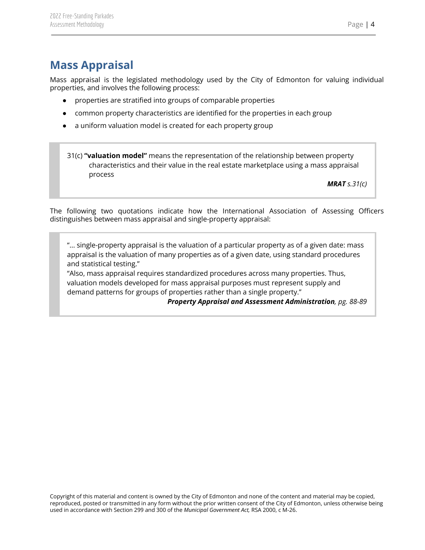# <span id="page-4-0"></span>**Mass Appraisal**

Mass appraisal is the legislated methodology used by the City of Edmonton for valuing individual properties, and involves the following process:

- properties are stratified into groups of comparable properties
- common property characteristics are identified for the properties in each group
- a uniform valuation model is created for each property group

31(c) **"valuation model"** means the representation of the relationship between property characteristics and their value in the real estate marketplace using a mass appraisal process

*MRAT s.31(c)*

The following two quotations indicate how the International Association of Assessing Officers distinguishes between mass appraisal and single-property appraisal:

"... single-property appraisal is the valuation of a particular property as of a given date: mass appraisal is the valuation of many properties as of a given date, using standard procedures and statistical testing."

"Also, mass appraisal requires standardized procedures across many properties. Thus, valuation models developed for mass appraisal purposes must represent supply and demand patterns for groups of properties rather than a single property."

*Property Appraisal and Assessment Administration, pg. 88-89*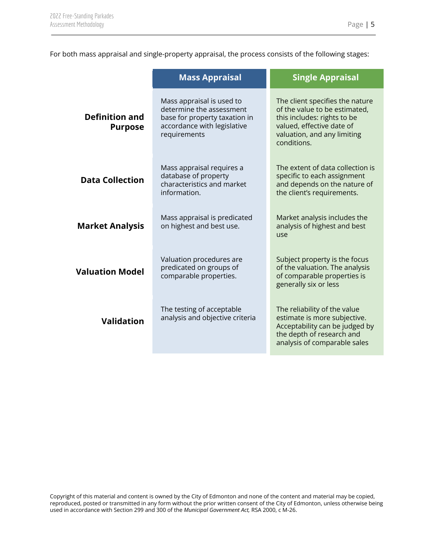For both mass appraisal and single-property appraisal, the process consists of the following stages:

|                                                                                   | <b>Mass Appraisal</b>                                                                                                                 | <b>Single Appraisal</b>                                                                                                                                                    |
|-----------------------------------------------------------------------------------|---------------------------------------------------------------------------------------------------------------------------------------|----------------------------------------------------------------------------------------------------------------------------------------------------------------------------|
| <b>Definition and</b><br><b>Purpose</b>                                           | Mass appraisal is used to<br>determine the assessment<br>base for property taxation in<br>accordance with legislative<br>requirements | The client specifies the nature<br>of the value to be estimated,<br>this includes: rights to be<br>valued, effective date of<br>valuation, and any limiting<br>conditions. |
| <b>Data Collection</b>                                                            | Mass appraisal requires a<br>database of property<br>characteristics and market<br>information.                                       | The extent of data collection is<br>specific to each assignment<br>and depends on the nature of<br>the client's requirements.                                              |
| <b>Market Analysis</b>                                                            | Mass appraisal is predicated<br>on highest and best use.                                                                              | Market analysis includes the<br>analysis of highest and best<br>use                                                                                                        |
| <b>Valuation Model</b>                                                            | Valuation procedures are<br>predicated on groups of<br>comparable properties.                                                         | Subject property is the focus<br>of the valuation. The analysis<br>of comparable properties is<br>generally six or less                                                    |
| The testing of acceptable<br>analysis and objective criteria<br><b>Validation</b> |                                                                                                                                       | The reliability of the value<br>estimate is more subjective.<br>Acceptability can be judged by<br>the depth of research and<br>analysis of comparable sales                |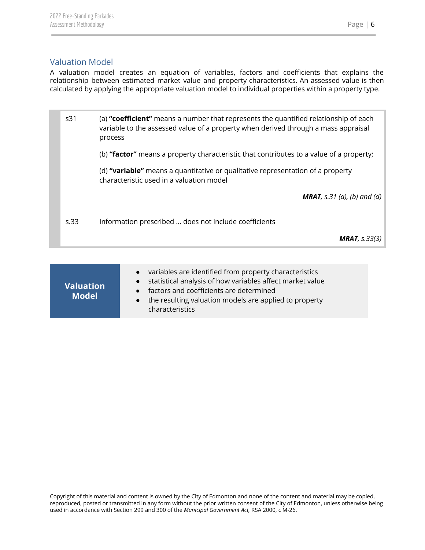#### <span id="page-6-0"></span>Valuation Model

A valuation model creates an equation of variables, factors and coefficients that explains the relationship between estimated market value and property characteristics. An assessed value is then calculated by applying the appropriate valuation model to individual properties within a property type.

| s31  | (a) "coefficient" means a number that represents the quantified relationship of each<br>variable to the assessed value of a property when derived through a mass appraisal<br>process |
|------|---------------------------------------------------------------------------------------------------------------------------------------------------------------------------------------|
|      | (b) "factor" means a property characteristic that contributes to a value of a property;                                                                                               |
|      | (d) "variable" means a quantitative or qualitative representation of a property<br>characteristic used in a valuation model                                                           |
|      | <b>MRAT</b> , s.31 (a), (b) and (d)                                                                                                                                                   |
| S.33 | Information prescribed  does not include coefficients                                                                                                                                 |
|      | <b>MRAT</b> , $s.33(3)$                                                                                                                                                               |

| <b>Valuation</b><br><b>Model</b> | • variables are identified from property characteristics<br>• statistical analysis of how variables affect market value<br>• factors and coefficients are determined<br>• the resulting valuation models are applied to property<br>characteristics |
|----------------------------------|-----------------------------------------------------------------------------------------------------------------------------------------------------------------------------------------------------------------------------------------------------|
|----------------------------------|-----------------------------------------------------------------------------------------------------------------------------------------------------------------------------------------------------------------------------------------------------|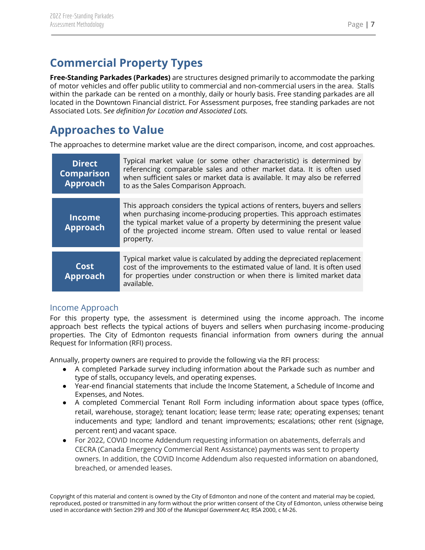# <span id="page-7-0"></span>**Commercial Property Types**

**Free-Standing Parkades (Parkades)** are structures designed primarily to accommodate the parking of motor vehicles and offer public utility to commercial and non-commercial users in the area. Stalls within the parkade can be rented on a monthly, daily or hourly basis. Free standing parkades are all located in the Downtown Financial district. For Assessment purposes, free standing parkades are not Associated Lots. S*ee definition for Location and Associated Lots.*

## <span id="page-7-1"></span>**Approaches to Value**

The approaches to determine market value are the direct comparison, income, and cost approaches.

| <b>Direct</b><br><b>Comparison</b><br><b>Approach</b> | Typical market value (or some other characteristic) is determined by<br>referencing comparable sales and other market data. It is often used<br>when sufficient sales or market data is available. It may also be referred<br>to as the Sales Comparison Approach.                                                 |
|-------------------------------------------------------|--------------------------------------------------------------------------------------------------------------------------------------------------------------------------------------------------------------------------------------------------------------------------------------------------------------------|
| <b>Income</b><br><b>Approach</b>                      | This approach considers the typical actions of renters, buyers and sellers<br>when purchasing income-producing properties. This approach estimates<br>the typical market value of a property by determining the present value<br>of the projected income stream. Often used to value rental or leased<br>property. |
| <b>Cost</b><br><b>Approach</b>                        | Typical market value is calculated by adding the depreciated replacement<br>cost of the improvements to the estimated value of land. It is often used<br>for properties under construction or when there is limited market data<br>available.                                                                      |

#### <span id="page-7-2"></span>Income Approach

For this property type, the assessment is determined using the income approach. The income approach best reflects the typical actions of buyers and sellers when purchasing income‐producing properties. The City of Edmonton requests financial information from owners during the annual Request for Information (RFI) process.

Annually, property owners are required to provide the following via the RFI process:

- A completed Parkade survey including information about the Parkade such as number and type of stalls, occupancy levels, and operating expenses.
- Year-end financial statements that include the Income Statement, a Schedule of Income and Expenses, and Notes.
- A completed Commercial Tenant Roll Form including information about space types (office, retail, warehouse, storage); tenant location; lease term; lease rate; operating expenses; tenant inducements and type; landlord and tenant improvements; escalations; other rent (signage, percent rent) and vacant space.
- For 2022, COVID Income Addendum requesting information on abatements, deferrals and CECRA (Canada Emergency Commercial Rent Assistance) payments was sent to property owners. In addition, the COVID Income Addendum also requested information on abandoned, breached, or amended leases.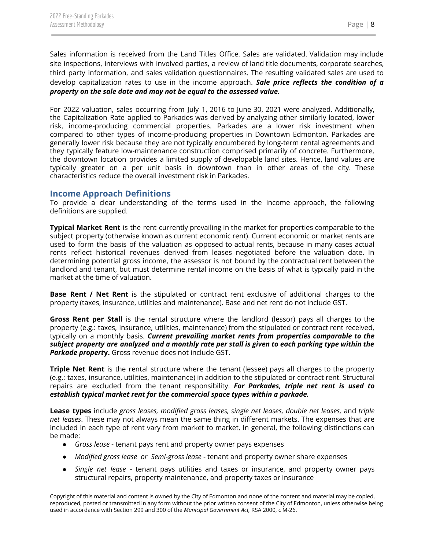Sales information is received from the Land Titles Office. Sales are validated. Validation may include site inspections, interviews with involved parties, a review of land title documents, corporate searches, third party information, and sales validation questionnaires. The resulting validated sales are used to develop capitalization rates to use in the income approach. *Sale price reflects the condition of a property on the sale date and may not be equal to the assessed value.*

For 2022 valuation, sales occurring from July 1, 2016 to June 30, 2021 were analyzed. Additionally, the Capitalization Rate applied to Parkades was derived by analyzing other similarly located, lower risk, income-producing commercial properties. Parkades are a lower risk investment when compared to other types of income-producing properties in Downtown Edmonton. Parkades are generally lower risk because they are not typically encumbered by long-term rental agreements and they typically feature low-maintenance construction comprised primarily of concrete. Furthermore, the downtown location provides a limited supply of developable land sites. Hence, land values are typically greater on a per unit basis in downtown than in other areas of the city. These characteristics reduce the overall investment risk in Parkades.

#### <span id="page-8-0"></span>**Income Approach Definitions**

To provide a clear understanding of the terms used in the income approach, the following definitions are supplied.

**Typical Market Rent** is the rent currently prevailing in the market for properties comparable to the subject property (otherwise known as current economic rent). Current economic or market rents are used to form the basis of the valuation as opposed to actual rents, because in many cases actual rents reflect historical revenues derived from leases negotiated before the valuation date. In determining potential gross income, the assessor is not bound by the contractual rent between the landlord and tenant, but must determine rental income on the basis of what is typically paid in the market at the time of valuation.

**Base Rent / Net Rent** is the stipulated or contract rent exclusive of additional charges to the property (taxes, insurance, utilities and maintenance). Base and net rent do not include GST.

**Gross Rent per Stall** is the rental structure where the landlord (lessor) pays all charges to the property (e.g.: taxes, insurance, utilities, maintenance) from the stipulated or contract rent received, typically on a monthly basis. *Current prevailing market rents from properties comparable to the* subject property are analyzed and a monthly rate per stall is given to each parking type within the *Parkade propert***y.** Gross revenue does not include GST.

**Triple Net Rent** is the rental structure where the tenant (lessee) pays all charges to the property (e.g.: taxes, insurance, utilities, maintenance) in addition to the stipulated or contract rent. Structural repairs are excluded from the tenant responsibility. *For Parkades, triple net rent is used to establish typical market rent for the commercial space types within a parkade.*

**Lease types** include *gross leases, modified gross leases, single net leases, double net leases,* and *triple net leases*. These may not always mean the same thing in different markets. The expenses that are included in each type of rent vary from market to market. In general, the following distinctions can be made:

- *Gross lease* tenant pays rent and property owner pays expenses
- *Modified gross lease or Semi-gross lease* tenant and property owner share expenses
- *Single net lease* tenant pays utilities and taxes or insurance, and property owner pays structural repairs, property maintenance, and property taxes or insurance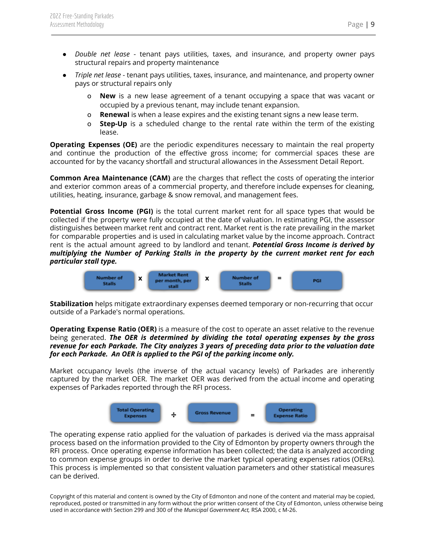- *Double net lease* tenant pays utilities, taxes, and insurance, and property owner pays structural repairs and property maintenance
- *Triple net lease* tenant pays utilities, taxes, insurance, and maintenance, and property owner pays or structural repairs only
	- o **New** is a new lease agreement of a tenant occupying a space that was vacant or occupied by a previous tenant, may include tenant expansion.
	- o **Renewal** is when a lease expires and the existing tenant signs a new lease term.
	- o **Step-Up** is a scheduled change to the rental rate within the term of the existing lease.

**Operating Expenses (OE)** are the periodic expenditures necessary to maintain the real property and continue the production of the effective gross income; for commercial spaces these are accounted for by the vacancy shortfall and structural allowances in the Assessment Detail Report.

**Common Area Maintenance (CAM)** are the charges that reflect the costs of operating the interior and exterior common areas of a commercial property, and therefore include expenses for cleaning, utilities, heating, insurance, garbage & snow removal, and management fees.

**Potential Gross Income (PGI)** is the total current market rent for all space types that would be collected if the property were fully occupied at the date of valuation. In estimating PGI, the assessor distinguishes between market rent and contract rent. Market rent is the rate prevailing in the market for comparable properties and is used in calculating market value by the income approach. Contract rent is the actual amount agreed to by landlord and tenant. *Potential Gross Income is derived by multiplying the Number of Parking Stalls in the property by the current market rent for each particular stall type.*



**Stabilization** helps mitigate extraordinary expenses deemed temporary or non-recurring that occur outside of a Parkade's normal operations.

**Operating Expense Ratio (OER)** is a measure of the cost to operate an asset relative to the revenue being generated. *The OER is determined by dividing the total operating expenses by the gross revenue for each Parkade. The City analyzes 3 years of preceding data prior to the valuation date for each Parkade. An OER is applied to the PGI of the parking income only.*

Market occupancy levels (the inverse of the actual vacancy levels) of Parkades are inherently captured by the market OER. The market OER was derived from the actual income and operating expenses of Parkades reported through the RFI process.



The operating expense ratio applied for the valuation of parkades is derived via the mass appraisal process based on the information provided to the City of Edmonton by property owners through the RFI process. Once operating expense information has been collected; the data is analyzed according to common expense groups in order to derive the market typical operating expenses ratios (OERs). This process is implemented so that consistent valuation parameters and other statistical measures can be derived.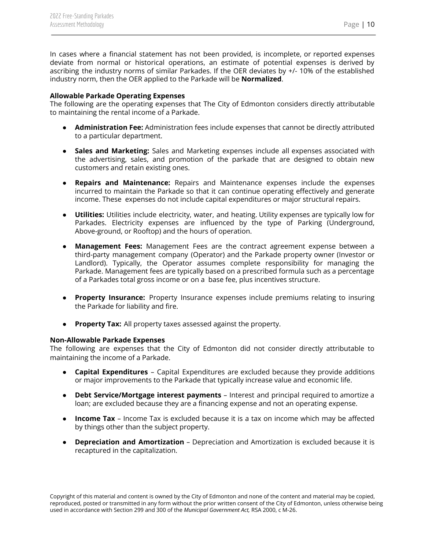In cases where a financial statement has not been provided, is incomplete, or reported expenses deviate from normal or historical operations, an estimate of potential expenses is derived by ascribing the industry norms of similar Parkades. If the OER deviates by +/- 10% of the established industry norm, then the OER applied to the Parkade will be **Normalized**.

#### **Allowable Parkade Operating Expenses**

The following are the operating expenses that The City of Edmonton considers directly attributable to maintaining the rental income of a Parkade.

- **Administration Fee:** Administration fees include expenses that cannot be directly attributed to a particular department.
- **Sales and Marketing:** Sales and Marketing expenses include all expenses associated with the advertising, sales, and promotion of the parkade that are designed to obtain new customers and retain existing ones.
- **Repairs and Maintenance:** Repairs and Maintenance expenses include the expenses incurred to maintain the Parkade so that it can continue operating effectively and generate income. These expenses do not include capital expenditures or major structural repairs.
- **Utilities:** Utilities include electricity, water, and heating. Utility expenses are typically low for Parkades. Electricity expenses are influenced by the type of Parking (Underground, Above-ground, or Rooftop) and the hours of operation.
- **Management Fees:** Management Fees are the contract agreement expense between a third-party management company (Operator) and the Parkade property owner (Investor or Landlord). Typically, the Operator assumes complete responsibility for managing the Parkade. Management fees are typically based on a prescribed formula such as a percentage of a Parkades total gross income or on a base fee, plus incentives structure.
- **Property Insurance:** Property Insurance expenses include premiums relating to insuring the Parkade for liability and fire.
- **Property Tax:** All property taxes assessed against the property.

#### **Non-Allowable Parkade Expenses**

The following are expenses that the City of Edmonton did not consider directly attributable to maintaining the income of a Parkade.

- **Capital Expenditures** Capital Expenditures are excluded because they provide additions or major improvements to the Parkade that typically increase value and economic life.
- **Debt Service/Mortgage interest payments** Interest and principal required to amortize a loan; are excluded because they are a financing expense and not an operating expense.
- **Income Tax** Income Tax is excluded because it is a tax on income which may be affected by things other than the subject property.
- **Depreciation and Amortization** Depreciation and Amortization is excluded because it is recaptured in the capitalization.

Copyright of this material and content is owned by the City of Edmonton and none of the content and material may be copied, reproduced, posted or transmitted in any form without the prior written consent of the City of Edmonton, unless otherwise being used in accordance with Section 299 and 300 of the *Municipal Government Act,* RSA 2000, c M-26.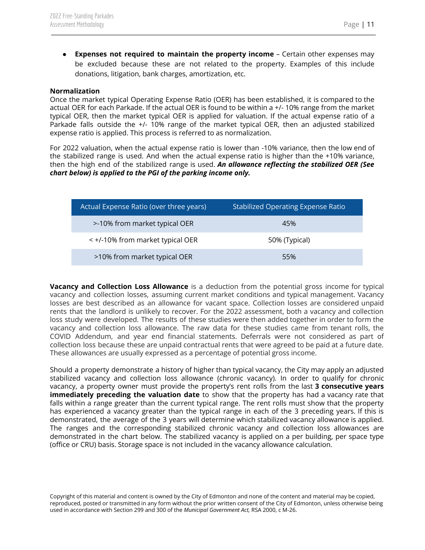● **Expenses not required to maintain the property income** – Certain other expenses may be excluded because these are not related to the property. Examples of this include donations, litigation, bank charges, amortization, etc.

#### **Normalization**

Once the market typical Operating Expense Ratio (OER) has been established, it is compared to the actual OER for each Parkade. If the actual OER is found to be within a +/- 10% range from the market typical OER, then the market typical OER is applied for valuation. If the actual expense ratio of a Parkade falls outside the +/- 10% range of the market typical OER, then an adjusted stabilized expense ratio is applied. This process is referred to as normalization.

For 2022 valuation, when the actual expense ratio is lower than -10% variance, then the low end of the stabilized range is used. And when the actual expense ratio is higher than the +10% variance, then the high end of the stabilized range is used. *An allowance reflecting the stabilized OER (See chart below) is applied to the PGI of the parking income only.*

| Actual Expense Ratio (over three years) | <b>Stabilized Operating Expense Ratio</b> |
|-----------------------------------------|-------------------------------------------|
| >-10% from market typical OER           | 45%                                       |
| < +/-10% from market typical OER        | 50% (Typical)                             |
| >10% from market typical OER            | 55%                                       |

**Vacancy and Collection Loss Allowance** is a deduction from the potential gross income for typical vacancy and collection losses, assuming current market conditions and typical management. Vacancy losses are best described as an allowance for vacant space. Collection losses are considered unpaid rents that the landlord is unlikely to recover. For the 2022 assessment, both a vacancy and collection loss study were developed. The results of these studies were then added together in order to form the vacancy and collection loss allowance. The raw data for these studies came from tenant rolls, the COVID Addendum, and year end financial statements. Deferrals were not considered as part of collection loss because these are unpaid contractual rents that were agreed to be paid at a future date. These allowances are usually expressed as a percentage of potential gross income.

Should a property demonstrate a history of higher than typical vacancy, the City may apply an adjusted stabilized vacancy and collection loss allowance (chronic vacancy). In order to qualify for chronic vacancy, a property owner must provide the property's rent rolls from the last **3 consecutive years immediately preceding the valuation date** to show that the property has had a vacancy rate that falls within a range greater than the current typical range. The rent rolls must show that the property has experienced a vacancy greater than the typical range in each of the 3 preceding years. If this is demonstrated, the average of the 3 years will determine which stabilized vacancy allowance is applied. The ranges and the corresponding stabilized chronic vacancy and collection loss allowances are demonstrated in the chart below. The stabilized vacancy is applied on a per building, per space type (office or CRU) basis. Storage space is not included in the vacancy allowance calculation.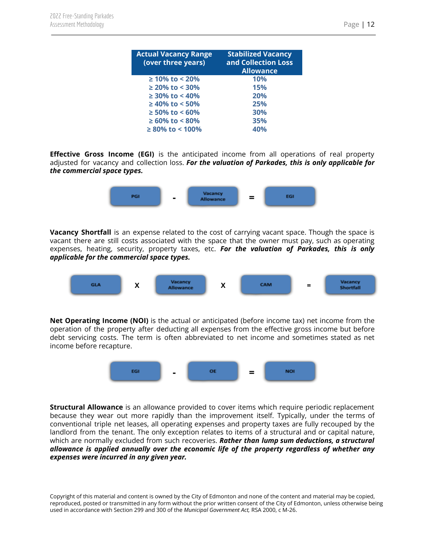|--|

| <b>Actual Vacancy Range</b><br>(over three years) | <b>Stabilized Vacancy</b><br>and Collection Loss<br><b>Allowance</b> |
|---------------------------------------------------|----------------------------------------------------------------------|
| $\geq 10\%$ to < 20%                              | 10%                                                                  |
| $\geq$ 20% to < 30%                               | 15%                                                                  |
| $\geq$ 30% to < 40%                               | 20%                                                                  |
| $\geq$ 40% to < 50%                               | 25%                                                                  |
| $\geq 50\%$ to < 60%                              | 30%                                                                  |
| $\geq 60\%$ to < 80%                              | 35%                                                                  |
| $\geq 80\%$ to < 100%                             | 40%                                                                  |

**Effective Gross Income (EGI)** is the anticipated income from all operations of real property adjusted for vacancy and collection loss. *For the valuation of Parkades, this is only applicable for the commercial space types.*



**Vacancy Shortfall** is an expense related to the cost of carrying vacant space. Though the space is vacant there are still costs associated with the space that the owner must pay, such as operating expenses, heating, security, property taxes, etc. *For the valuation of Parkades, this is only applicable for the commercial space types.*



**Net Operating Income (NOI)** is the actual or anticipated (before income tax) net income from the operation of the property after deducting all expenses from the effective gross income but before debt servicing costs. The term is often abbreviated to net income and sometimes stated as net income before recapture.



**Structural Allowance** is an allowance provided to cover items which require periodic replacement because they wear out more rapidly than the improvement itself. Typically, under the terms of conventional triple net leases, all operating expenses and property taxes are fully recouped by the landlord from the tenant. The only exception relates to items of a structural and or capital nature, which are normally excluded from such recoveries. *Rather than lump sum deductions, a structural allowance is applied annually over the economic life of the property regardless of whether any expenses were incurred in any given year.*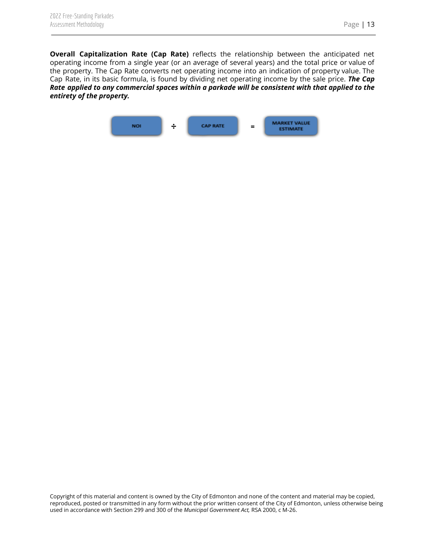**Overall Capitalization Rate (Cap Rate)** reflects the relationship between the anticipated net operating income from a single year (or an average of several years) and the total price or value of the property. The Cap Rate converts net operating income into an indication of property value. The Cap Rate, in its basic formula, is found by dividing net operating income by the sale price. *The Cap Rate applied to any commercial spaces within a parkade will be consistent with that applied to the entirety of the property.*

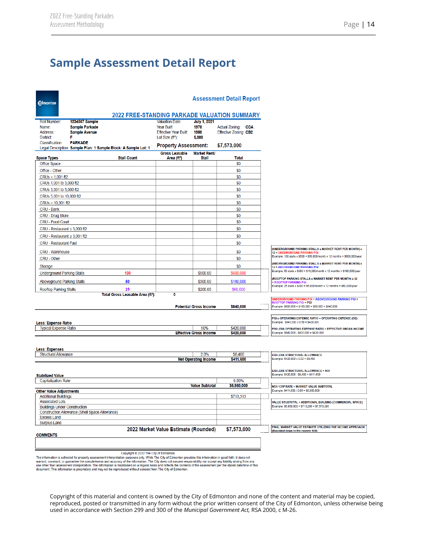## <span id="page-14-0"></span>**Sample Assessment Detail Report**

| <b>Edmonton</b>                                                   |                                                                                                                                                                                                                                                                                                                                           |                                                     |                                                                                              |                                              | <b>Assessment Detail Report</b>             |                                                                                                 |
|-------------------------------------------------------------------|-------------------------------------------------------------------------------------------------------------------------------------------------------------------------------------------------------------------------------------------------------------------------------------------------------------------------------------------|-----------------------------------------------------|----------------------------------------------------------------------------------------------|----------------------------------------------|---------------------------------------------|-------------------------------------------------------------------------------------------------|
|                                                                   |                                                                                                                                                                                                                                                                                                                                           | <b>2022 FREE-STANDING PARKADE VALUATION SUMMARY</b> |                                                                                              |                                              |                                             |                                                                                                 |
| <b>Roll Number:</b><br>Name:<br>Address:<br>District <sup>-</sup> | 1234567 Sample<br><b>Sample Parkade</b><br><b>Sample Avenue</b><br>F                                                                                                                                                                                                                                                                      |                                                     | <b>Valuation Date:</b><br>Year Built:<br><b>Effective Year Built:</b><br>Lot Size $(f1^2)$ : | <b>July 1, 2021</b><br>1970<br>1980<br>5,000 | Actual Zoning: CCA<br>Effective Zoning: CB2 |                                                                                                 |
| Classification:                                                   | <b>PARKADE</b>                                                                                                                                                                                                                                                                                                                            |                                                     | <b>Property Assessment:</b>                                                                  |                                              | \$7,573,000                                 |                                                                                                 |
|                                                                   | Legal Description: Sample Plan: 1 Sample Block: A Sample Lot: 1                                                                                                                                                                                                                                                                           |                                                     | <b>Gross Leasable</b>                                                                        | <b>Market Rent/</b>                          |                                             |                                                                                                 |
| <b>Space Types</b>                                                |                                                                                                                                                                                                                                                                                                                                           | <b>Stall Count</b>                                  | Area (ft <sup>2</sup> )                                                                      | Stall                                        | <b>Total</b>                                |                                                                                                 |
| Office Space                                                      |                                                                                                                                                                                                                                                                                                                                           |                                                     |                                                                                              |                                              | \$0                                         |                                                                                                 |
| Office - Other                                                    |                                                                                                                                                                                                                                                                                                                                           |                                                     |                                                                                              |                                              | \$0                                         |                                                                                                 |
| CRUs < 1,001 ft2                                                  |                                                                                                                                                                                                                                                                                                                                           |                                                     |                                                                                              |                                              | \$0                                         |                                                                                                 |
| CRUs 1,001 to 3,000 ft2                                           |                                                                                                                                                                                                                                                                                                                                           |                                                     |                                                                                              |                                              | \$0                                         |                                                                                                 |
| CRUs 3,001 to 5,000 ft2                                           |                                                                                                                                                                                                                                                                                                                                           |                                                     |                                                                                              |                                              | \$0                                         |                                                                                                 |
| CRUs 5,001 to 10,000 ft2                                          |                                                                                                                                                                                                                                                                                                                                           |                                                     |                                                                                              |                                              | \$0                                         |                                                                                                 |
| CRUs > 10,001 ft2                                                 |                                                                                                                                                                                                                                                                                                                                           |                                                     |                                                                                              |                                              | \$0                                         |                                                                                                 |
| CRU - Bank                                                        |                                                                                                                                                                                                                                                                                                                                           |                                                     |                                                                                              |                                              | \$0<br>\$0                                  |                                                                                                 |
| <b>CRU - Drug Store</b><br>CRU - Food Court                       |                                                                                                                                                                                                                                                                                                                                           |                                                     |                                                                                              |                                              | \$0                                         |                                                                                                 |
|                                                                   |                                                                                                                                                                                                                                                                                                                                           |                                                     |                                                                                              |                                              |                                             |                                                                                                 |
| CRU - Restaurant $\leq 3,000$ ft2                                 |                                                                                                                                                                                                                                                                                                                                           |                                                     |                                                                                              |                                              | \$0                                         |                                                                                                 |
| CRU - Restaurant $\geq 3,001$ ft2                                 |                                                                                                                                                                                                                                                                                                                                           |                                                     |                                                                                              |                                              | \$0                                         |                                                                                                 |
| <b>CRU - Restaurant Fast</b>                                      |                                                                                                                                                                                                                                                                                                                                           |                                                     |                                                                                              |                                              | \$0                                         |                                                                                                 |
| CRU - Warehouse                                                   |                                                                                                                                                                                                                                                                                                                                           |                                                     |                                                                                              |                                              | \$0                                         | (UNDERGROUND PARKING STALLS x MARKET RENT PER MONTH) x<br>12 = UNDERGROUND PARKING PGI          |
| CRU - Other                                                       |                                                                                                                                                                                                                                                                                                                                           |                                                     |                                                                                              |                                              | \$0                                         | Example: 100 stalls x \$500 = \$50,000/month x 12 months = \$600,000/year                       |
| Storage                                                           |                                                                                                                                                                                                                                                                                                                                           |                                                     |                                                                                              |                                              | \$0                                         | (ABOVEGROUND PARKING STALLS x MARKET RENT PER MONTH) x<br><b>12 = ABOVEGROUND PARKING PGI</b>   |
| <b>Underground Parking Stalls</b>                                 |                                                                                                                                                                                                                                                                                                                                           | 100                                                 |                                                                                              | \$500.00                                     | \$600,000                                   | Example: 50 stalls x \$300 = \$15,000/month x 12 months = \$180,000/year                        |
| <b>Aboveground Parking Stalls</b>                                 |                                                                                                                                                                                                                                                                                                                                           | 50                                                  |                                                                                              | \$300.00                                     | \$180,000                                   | (ROOFTOP PARKING STALLS x MARKET RENT PER MONTH) x 12                                           |
|                                                                   |                                                                                                                                                                                                                                                                                                                                           |                                                     |                                                                                              |                                              |                                             | = ROOFTOP PARKING PGI<br>Example: 25 stalls x \$200 = \$5,000/month x 12 months = \$60,000/year |
| <b>Rooftop Parking Stalls</b>                                     |                                                                                                                                                                                                                                                                                                                                           | 25<br>Total Gross Leasable Area (ft <sup>2</sup> ): | 0                                                                                            | \$200.00                                     | \$60,000                                    |                                                                                                 |
|                                                                   |                                                                                                                                                                                                                                                                                                                                           |                                                     |                                                                                              |                                              |                                             | UNDERGROUND PARKING PGI + ABOVEGROUND PARKING PGI +<br>ROOFTOP PARKING PGI = PGI                |
|                                                                   |                                                                                                                                                                                                                                                                                                                                           |                                                     |                                                                                              | <b>Potential Gross Income</b>                | \$840,000                                   | Example: \$600,000 + \$180,000 + \$60,000 = \$840,000                                           |
|                                                                   |                                                                                                                                                                                                                                                                                                                                           |                                                     |                                                                                              |                                              |                                             | PGI x OPERATING EXPENSE RATIO = OPERATING EXPENSE (OE)                                          |
| <b>Less: Expense Ratio</b>                                        |                                                                                                                                                                                                                                                                                                                                           |                                                     |                                                                                              |                                              |                                             | Example: \$840,000 x 0.50 = \$420,000                                                           |
| <b>Typical Expense Ratio</b>                                      |                                                                                                                                                                                                                                                                                                                                           |                                                     |                                                                                              | 50%                                          | \$420,000                                   | PGI LESS OPERATING EXPENSE RATIO = EFFECTIVE GROSS INCOME                                       |
|                                                                   |                                                                                                                                                                                                                                                                                                                                           |                                                     |                                                                                              | <b>Effective Gross Income</b>                | \$420,000                                   | Example: \$840,000 - \$420,000 = \$420,000                                                      |
|                                                                   |                                                                                                                                                                                                                                                                                                                                           |                                                     |                                                                                              |                                              |                                             |                                                                                                 |
| <b>Less: Expenses</b>                                             |                                                                                                                                                                                                                                                                                                                                           |                                                     |                                                                                              | 2.0%                                         |                                             |                                                                                                 |
| <b>Structural Allowance</b>                                       |                                                                                                                                                                                                                                                                                                                                           |                                                     |                                                                                              | <b>Net Operating Income</b>                  | \$8,400<br>\$411,600                        | EGI LESS STRUCTURAL ALLOWANCE<br>Example: \$420,000 x 0.02 = \$8,400                            |
|                                                                   |                                                                                                                                                                                                                                                                                                                                           |                                                     |                                                                                              |                                              |                                             |                                                                                                 |
|                                                                   |                                                                                                                                                                                                                                                                                                                                           |                                                     |                                                                                              |                                              |                                             | <b>EGILESS STRUCTURAL ALLOWANCE = NOI</b><br>Example: \$420,000 - \$8,400 = \$411,600           |
| <b>Stabilized Value</b><br><b>Capitalization Rate</b>             |                                                                                                                                                                                                                                                                                                                                           |                                                     |                                                                                              |                                              | 6.00%                                       |                                                                                                 |
|                                                                   |                                                                                                                                                                                                                                                                                                                                           |                                                     |                                                                                              | <b>Value Subtotal</b>                        | \$6,860,000                                 | NOI / CAP RATE = MARKET VALUE SUBTOTAL                                                          |
| <b>Other Value Adjustments</b>                                    |                                                                                                                                                                                                                                                                                                                                           |                                                     |                                                                                              |                                              |                                             | Example: \$411,600 / 0.06 = \$6,860,000                                                         |
| <b>Additional Buildings</b><br><b>Associated Lots</b>             |                                                                                                                                                                                                                                                                                                                                           |                                                     |                                                                                              |                                              | \$713,313                                   | VALUE STUBTOTAL + ADDITIONAL BUILDING (COMMERCIAL SPACE)                                        |
| <b>Buildings Under Construction</b>                               |                                                                                                                                                                                                                                                                                                                                           |                                                     |                                                                                              |                                              |                                             | Example: \$6,860,000 + \$713,286 = \$7,573,286                                                  |
|                                                                   | Construction Allowance (Shell Space Allowance)                                                                                                                                                                                                                                                                                            |                                                     |                                                                                              |                                              |                                             |                                                                                                 |
| <b>Excess Land</b>                                                |                                                                                                                                                                                                                                                                                                                                           |                                                     |                                                                                              |                                              |                                             |                                                                                                 |
| <b>Surplus Land</b>                                               |                                                                                                                                                                                                                                                                                                                                           |                                                     |                                                                                              |                                              |                                             | FINAL MARKET VALUE ESTIMATE UTILIZING THE INCOME APPROACH                                       |
| <b>COMMENTS</b>                                                   |                                                                                                                                                                                                                                                                                                                                           |                                                     | 2022 Market Value Estimate (Rounded)                                                         |                                              | \$7,573,000                                 | (Rounded down to the nearest 500)                                                               |
|                                                                   |                                                                                                                                                                                                                                                                                                                                           |                                                     |                                                                                              |                                              |                                             |                                                                                                 |
|                                                                   |                                                                                                                                                                                                                                                                                                                                           |                                                     |                                                                                              |                                              |                                             |                                                                                                 |
|                                                                   |                                                                                                                                                                                                                                                                                                                                           | Copyright @ 2022 The City of Edmonton               |                                                                                              |                                              |                                             |                                                                                                 |
|                                                                   | The information is collected for property assessment interpretation purposes only. While The City of Edmonton provides this information in good faith, it does not<br>warrant, covenant, or quarantee the completeness and accuracy of the information. The City does not assume responsibility nor accept any liability arising from any |                                                     |                                                                                              |                                              |                                             |                                                                                                 |

use other than assessment interpretation. The information is maintained on a regular basis and reflects the contents of the Assessment per the stated date/time of this document. This information is proprietary and may not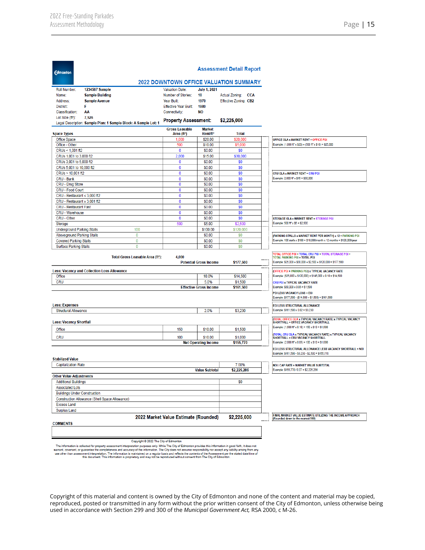|                                                                       |                                                                 |                                                  |                                       | <b>2022 DOWNTOWN OFFICE VALUATION SUMMARY</b> |                                                                                                                                          |
|-----------------------------------------------------------------------|-----------------------------------------------------------------|--------------------------------------------------|---------------------------------------|-----------------------------------------------|------------------------------------------------------------------------------------------------------------------------------------------|
| Roll Number:                                                          | 1234567 Sample                                                  | <b>Valuation Date:</b>                           | <b>July 1, 2021</b>                   |                                               |                                                                                                                                          |
| Name:                                                                 | <b>Sample Building</b>                                          | Number of Stories:                               | 10                                    | Actual Zoning: CCA                            |                                                                                                                                          |
| Address:                                                              | <b>Sample Avenue</b>                                            | Year Built:                                      | 1970                                  | Effective Zoning: CB2                         |                                                                                                                                          |
| District:                                                             | F                                                               | <b>Effective Year Built:</b>                     | 1980                                  |                                               |                                                                                                                                          |
| Classification:                                                       | AA                                                              | Connectivity:                                    | NΟ                                    |                                               |                                                                                                                                          |
| Lot Size $(ft^2)$ :                                                   | 7,526                                                           |                                                  |                                       |                                               |                                                                                                                                          |
|                                                                       | Legal Description: Sample Plan: 1 Sample Block: A Sample Lot: 1 | <b>Property Assessment:</b>                      |                                       | \$2,225,000                                   |                                                                                                                                          |
| <b>Space Types</b>                                                    |                                                                 | <b>Gross Leasable</b><br>Area (ft <sup>2</sup> ) | <b>Market</b><br>Rent/ft <sup>2</sup> | Total                                         |                                                                                                                                          |
| Office Space                                                          |                                                                 | 1,000                                            | \$20.00                               | \$20,000                                      | <b>OFFICE GLA x MARKET RENT = OFFICE PGI</b>                                                                                             |
| Office - Other                                                        |                                                                 | 500                                              | \$10.00                               | \$5,000                                       | Example: (1,000 ft <sup>2</sup> x \$20) + (500 ft <sup>2</sup> x \$10) = \$25,000                                                        |
| CRUs < 1.001 ft2                                                      |                                                                 | 0                                                | \$0.00                                | \$0                                           |                                                                                                                                          |
| CRUs 1,001 to 3,000 ft2                                               |                                                                 | 2,000                                            | \$15.00                               | \$30,000                                      |                                                                                                                                          |
| CRUs 3,001 to 5,000 ft2                                               |                                                                 | 0                                                | \$0.00                                | \$0                                           |                                                                                                                                          |
| CRUs 5,001 to 10,000 ft2                                              |                                                                 | 0                                                | \$0.00                                | \$0                                           |                                                                                                                                          |
| CRUs > 10,001 ft2                                                     |                                                                 | 0                                                | \$0.00                                | \$0                                           | <b>CRU GLA x MARKET RENT = CRU PGI</b>                                                                                                   |
| CRU - Bank                                                            |                                                                 | 0                                                | \$0.00                                | \$0                                           | Example: 2,000 ft <sup>2</sup> x \$15 = \$30,000                                                                                         |
| CRU - Drug Store                                                      |                                                                 | 0                                                | \$0.00                                | \$0                                           |                                                                                                                                          |
| CRU - Food Court                                                      |                                                                 | 0                                                | \$0.00                                | \$0                                           |                                                                                                                                          |
| CRU - Restaurant $\leq$ 3,000 ft2                                     |                                                                 | 0                                                | \$0.00                                | \$0                                           |                                                                                                                                          |
| CRU - Restaurant ≥ 3,001 ft2                                          |                                                                 | 0                                                | \$0.00                                | \$0                                           |                                                                                                                                          |
| <b>CRU - Restaurant Fast</b>                                          |                                                                 | 0                                                | \$0.00                                | \$0                                           |                                                                                                                                          |
| CRU - Warehouse<br>CRU - Other                                        |                                                                 | 0<br>0                                           | \$0.00<br>\$0.00                      | \$0<br>\$0                                    |                                                                                                                                          |
| Storage                                                               |                                                                 | 500                                              | \$5.00                                | \$2,500                                       | <b>STORAGE GLA x MARKET RENT = STORAGE PGI</b><br>Example: 500 ft <sup>2</sup> x \$5 = \$2,500                                           |
| <b>Underground Parking Stalls</b>                                     | 100                                                             |                                                  | \$100.00                              | \$120,000                                     |                                                                                                                                          |
| <b>Aboveground Parking Stalls</b>                                     | $\pmb{0}$                                                       |                                                  | \$0.00                                | \$0                                           |                                                                                                                                          |
| <b>Covered Parking Stalls</b>                                         | 0                                                               |                                                  | \$0.00                                | \$0                                           | (PARKING STALLS x MARKET RENT PER MONTH) x 12 = PARKING PGI<br>Example: 100 stalls x \$100 = \$10,000/month x 12 months = \$120,000/year |
| <b>Surface Parking Stalls</b>                                         | 0                                                               |                                                  | \$0.00                                | \$0                                           |                                                                                                                                          |
|                                                                       |                                                                 |                                                  |                                       |                                               |                                                                                                                                          |
| Office                                                                | <b>Less: Vacancy and Collection Loss Allowance</b>              |                                                  | 10.0%                                 | \$14,500                                      | (OFFICE PGI + PARKING PGI) x TYPICAL VACANCY RATE<br>Example: (\$25,000 + \$120,000) = \$145,000 x 0.10 = \$14,500                       |
| <b>CRU</b>                                                            |                                                                 |                                                  | 5.0%                                  | \$1,500                                       | CRU PGI x TYPICAL VACANCY RATE<br>Example: \$30,000 x 0.05 = \$1,500                                                                     |
|                                                                       |                                                                 |                                                  | <b>Effective Gross Income</b>         | \$161,500                                     | <b>PGI LESS VACANCY LOSS = EGI</b>                                                                                                       |
|                                                                       |                                                                 |                                                  |                                       |                                               | Example: \$177,500 - (\$14,500 + \$1,500) = \$161,500                                                                                    |
|                                                                       |                                                                 |                                                  |                                       |                                               | <b>EGI LESS STRUCTURAL ALLOWANCE</b>                                                                                                     |
| <b>Structural Allowance</b>                                           |                                                                 |                                                  | 2.0%                                  | \$3,230                                       | Example: \$161,500 x 0.02 = \$3,230                                                                                                      |
|                                                                       |                                                                 |                                                  |                                       |                                               | (TOTAL OFFICE GLA x TYPICAL VACANCY RATE) x TYPICAL VACANCY<br>SHORTFALL = OFFICE VACANCY SHORTFALL                                      |
| Office                                                                |                                                                 | 150                                              | \$10.00                               | \$1,500                                       | Example: (1,500 ft <sup>2</sup> x 0.10) = 150 x \$10 = \$1,500                                                                           |
| <b>Less: Expenses</b><br><b>Less: Vacancy Shortfall</b><br><b>CRU</b> |                                                                 | 100                                              | \$10.00                               | \$1,000                                       | (TOTAL CRU GLA x TYPICAL VACANCY RATE) x TYPICAL VACANCY<br><b>SHORTFALL = CRU VACANCY SHORTFALL</b>                                     |
|                                                                       |                                                                 |                                                  | <b>Net Operating Income</b>           | \$155,770                                     | Example: (2,000 ft <sup>2</sup> x 0.05) = 100 x \$10 = \$1,000                                                                           |
|                                                                       |                                                                 |                                                  |                                       |                                               | EGI LESS STRUCTURAL ALLOWANCE LESS VACANCY SHORTFALL = NOI<br>Example: \$161,500 - \$3,230 - \$2,500 = \$155,770                         |
| <b>Stabilized Value</b>                                               |                                                                 |                                                  |                                       |                                               |                                                                                                                                          |
| <b>Capitalization Rate</b>                                            |                                                                 |                                                  |                                       | 7.00%                                         | NOI / CAP RATE = MARKET VALUE SUBTOTAL                                                                                                   |
|                                                                       |                                                                 |                                                  | <b>Value Subtotal</b>                 | \$2,225,286                                   | Example: \$155,770 / 0.07 = \$2,225,286                                                                                                  |
|                                                                       |                                                                 |                                                  |                                       |                                               |                                                                                                                                          |
| <b>Additional Buildings</b>                                           |                                                                 |                                                  |                                       | \$0                                           |                                                                                                                                          |
| <b>Associated Lots</b>                                                |                                                                 |                                                  |                                       |                                               |                                                                                                                                          |
| <b>Buildings Under Construction</b>                                   |                                                                 |                                                  |                                       |                                               |                                                                                                                                          |
|                                                                       | Construction Allowance (Shell Space Allowance)                  |                                                  |                                       |                                               |                                                                                                                                          |
| <b>Excess Land</b>                                                    |                                                                 |                                                  |                                       |                                               |                                                                                                                                          |
| <b>Other Value Adjustments</b><br>Surplus Land                        |                                                                 |                                                  |                                       |                                               |                                                                                                                                          |
|                                                                       |                                                                 | 2022 Market Value Estimate (Rounded)             |                                       | \$2,225,000                                   | FINAL MARKET VALUE ESTIMATE UTILIZING THE INCOME APPROACH<br>(Rounded down to the nearest 500)                                           |
| <b>COMMENTS</b>                                                       |                                                                 |                                                  |                                       |                                               |                                                                                                                                          |

this document. This information is maintained on a regular basis and reflects the contents of the Assessment per tr<br>this document. This information is proprietary and may not be reproduced without consent from The City of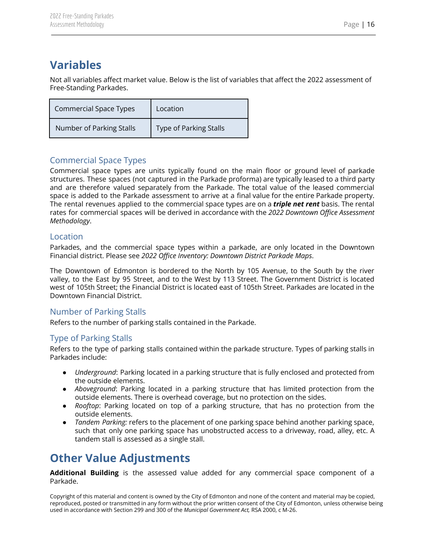## <span id="page-16-0"></span>**Variables**

Not all variables affect market value. Below is the list of variables that affect the 2022 assessment of Free-Standing Parkades.

| <b>Commercial Space Types</b> | Location                      |
|-------------------------------|-------------------------------|
| Number of Parking Stalls      | <b>Type of Parking Stalls</b> |

#### <span id="page-16-1"></span>Commercial Space Types

Commercial space types are units typically found on the main floor or ground level of parkade structures. These spaces (not captured in the Parkade proforma) are typically leased to a third party and are therefore valued separately from the Parkade. The total value of the leased commercial space is added to the Parkade assessment to arrive at a final value for the entire Parkade property. The rental revenues applied to the commercial space types are on a *triple net rent* basis. The rental rates for commercial spaces will be derived in accordance with the *2022 Downtown Office Assessment Methodology*.

#### <span id="page-16-2"></span>Location

Parkades, and the commercial space types within a parkade, are only located in the Downtown Financial district. Please see *2022 Office Inventory: Downtown District Parkade Maps*.

The Downtown of Edmonton is bordered to the North by 105 Avenue, to the South by the river valley, to the East by 95 Street, and to the West by 113 Street. The Government District is located west of 105th Street; the Financial District is located east of 105th Street. Parkades are located in the Downtown Financial District.

#### <span id="page-16-3"></span>Number of Parking Stalls

Refers to the number of parking stalls contained in the Parkade.

#### <span id="page-16-4"></span>Type of Parking Stalls

Refers to the type of parking stalls contained within the parkade structure. Types of parking stalls in Parkades include:

- *Underground*: Parking located in a parking structure that is fully enclosed and protected from the outside elements.
- *Aboveground*: Parking located in a parking structure that has limited protection from the outside elements. There is overhead coverage, but no protection on the sides.
- *Rooftop*: Parking located on top of a parking structure, that has no protection from the outside elements.
- *Tandem Parking:* refers to the placement of one parking space behind another parking space, such that only one parking space has unobstructed access to a driveway, road, alley, etc. A tandem stall is assessed as a single stall.

# <span id="page-16-5"></span>**Other Value Adjustments**

**Additional Building** is the assessed value added for any commercial space component of a Parkade.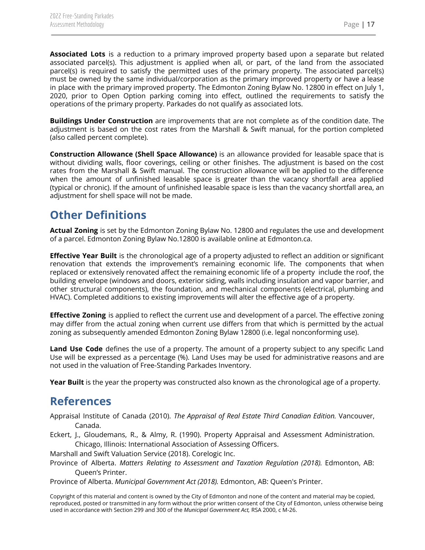**Associated Lots** is a reduction to a primary improved property based upon a separate but related associated parcel(s). This adjustment is applied when all, or part, of the land from the associated parcel(s) is required to satisfy the permitted uses of the primary property. The associated parcel(s) must be owned by the same individual/corporation as the primary improved property or have a lease in place with the primary improved property. The Edmonton Zoning Bylaw No. 12800 in effect on July 1, 2020, prior to Open Option parking coming into effect, outlined the requirements to satisfy the operations of the primary property. Parkades do not qualify as associated lots.

**Buildings Under Construction** are improvements that are not complete as of the condition date. The adjustment is based on the cost rates from the Marshall & Swift manual, for the portion completed (also called percent complete).

**Construction Allowance (Shell Space Allowance)** is an allowance provided for leasable space that is without dividing walls, floor coverings, ceiling or other finishes. The adjustment is based on the cost rates from the Marshall & Swift manual. The construction allowance will be applied to the difference when the amount of unfinished leasable space is greater than the vacancy shortfall area applied (typical or chronic). If the amount of unfinished leasable space is less than the vacancy shortfall area, an adjustment for shell space will not be made.

## <span id="page-17-0"></span>**Other Definitions**

**Actual Zoning** is set by the Edmonton Zoning Bylaw No. 12800 and regulates the use and development of a parcel. Edmonton Zoning Bylaw No.12800 is available online at Edmonton.ca.

**Effective Year Built** is the chronological age of a property adjusted to reflect an addition or significant renovation that extends the improvement's remaining economic life. The components that when replaced or extensively renovated affect the remaining economic life of a property include the roof, the building envelope (windows and doors, exterior siding, walls including insulation and vapor barrier, and other structural components), the foundation, and mechanical components (electrical, plumbing and HVAC). Completed additions to existing improvements will alter the effective age of a property.

**Effective Zoning** is applied to reflect the current use and development of a parcel. The effective zoning may differ from the actual zoning when current use differs from that which is permitted by the actual zoning as subsequently amended Edmonton Zoning Bylaw 12800 (i.e. legal nonconforming use).

**Land Use Code** defines the use of a property. The amount of a property subject to any specific Land Use will be expressed as a percentage (%). Land Uses may be used for administrative reasons and are not used in the valuation of Free-Standing Parkades Inventory.

<span id="page-17-1"></span>**Year Built** is the year the property was constructed also known as the chronological age of a property.

#### **References**

- Appraisal Institute of Canada (2010). *The Appraisal of Real Estate Third Canadian Edition.* Vancouver, Canada.
- Eckert, J., Gloudemans, R., & Almy, R. (1990). Property Appraisal and Assessment Administration. Chicago, Illinois: International Association of Assessing Officers.

Marshall and Swift Valuation Service (2018). Corelogic Inc.

Province of Alberta. *Matters Relating to Assessment and Taxation Regulation (2018).* Edmonton, AB: Queen's Printer.

Province of Alberta. *Municipal Government Act (2018).* Edmonton, AB: Queen's Printer.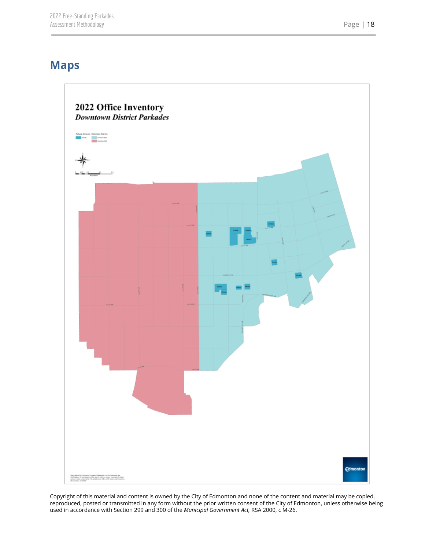# <span id="page-18-0"></span>**Maps**